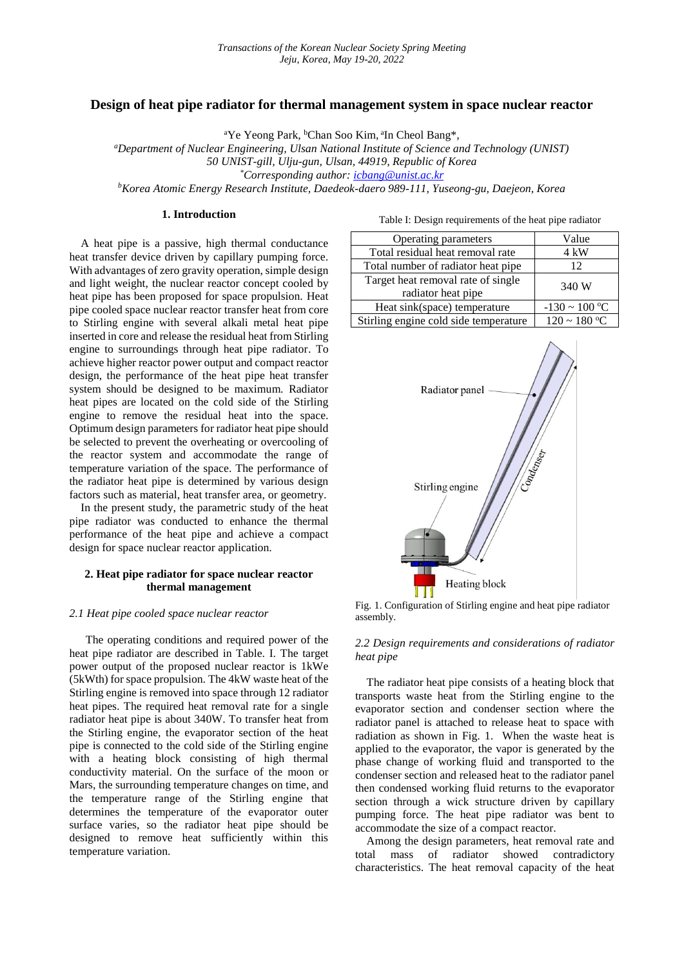## **Design of heat pipe radiator for thermal management system in space nuclear reactor**

<sup>a</sup>Ye Yeong Park, <sup>b</sup>Chan Soo Kim, a In Cheol Bang\*,

*<sup>a</sup>Department of Nuclear Engineering, Ulsan National Institute of Science and Technology (UNIST) 50 UNIST-gill, Ulju-gun, Ulsan, 44919, Republic of Korea \*Corresponding author: [icbang@unist.ac.kr](mailto:icbang@unist.ac.kr) <sup>b</sup>Korea Atomic Energy Research Institute, Daedeok-daero 989-111, Yuseong-gu, Daejeon, Korea*

#### **1. Introduction**

A heat pipe is a passive, high thermal conductance heat transfer device driven by capillary pumping force. With advantages of zero gravity operation, simple design and light weight, the nuclear reactor concept cooled by heat pipe has been proposed for space propulsion. Heat pipe cooled space nuclear reactor transfer heat from core to Stirling engine with several alkali metal heat pipe inserted in core and release the residual heat from Stirling engine to surroundings through heat pipe radiator. To achieve higher reactor power output and compact reactor design, the performance of the heat pipe heat transfer system should be designed to be maximum. Radiator heat pipes are located on the cold side of the Stirling engine to remove the residual heat into the space. Optimum design parameters for radiator heat pipe should be selected to prevent the overheating or overcooling of the reactor system and accommodate the range of temperature variation of the space. The performance of the radiator heat pipe is determined by various design factors such as material, heat transfer area, or geometry.

In the present study, the parametric study of the heat pipe radiator was conducted to enhance the thermal performance of the heat pipe and achieve a compact design for space nuclear reactor application.

# **2. Heat pipe radiator for space nuclear reactor thermal management**

#### *2.1 Heat pipe cooled space nuclear reactor*

The operating conditions and required power of the heat pipe radiator are described in Table. I. The target power output of the proposed nuclear reactor is 1kWe (5kWth) for space propulsion. The 4kW waste heat of the Stirling engine is removed into space through 12 radiator heat pipes. The required heat removal rate for a single radiator heat pipe is about 340W. To transfer heat from the Stirling engine, the evaporator section of the heat pipe is connected to the cold side of the Stirling engine with a heating block consisting of high thermal conductivity material. On the surface of the moon or Mars, the surrounding temperature changes on time, and the temperature range of the Stirling engine that determines the temperature of the evaporator outer surface varies, so the radiator heat pipe should be designed to remove heat sufficiently within this temperature variation.

Table I: Design requirements of the heat pipe radiator

| Operating parameters                  | Value              |  |
|---------------------------------------|--------------------|--|
| Total residual heat removal rate      | 4 kW               |  |
| Total number of radiator heat pipe    | 12                 |  |
| Target heat removal rate of single    | 340 W              |  |
| radiator heat pipe                    |                    |  |
| Heat sink(space) temperature          | $-130 \sim 100$ °C |  |
| Stirling engine cold side temperature | $120 \sim 180 °C$  |  |



Fig. 1. Configuration of Stirling engine and heat pipe radiator assembly.

### *2.2 Design requirements and considerations of radiator heat pipe*

The radiator heat pipe consists of a heating block that transports waste heat from the Stirling engine to the evaporator section and condenser section where the radiator panel is attached to release heat to space with radiation as shown in Fig. 1. When the waste heat is applied to the evaporator, the vapor is generated by the phase change of working fluid and transported to the condenser section and released heat to the radiator panel then condensed working fluid returns to the evaporator section through a wick structure driven by capillary pumping force. The heat pipe radiator was bent to accommodate the size of a compact reactor.

Among the design parameters, heat removal rate and total mass of radiator showed contradictory characteristics. The heat removal capacity of the heat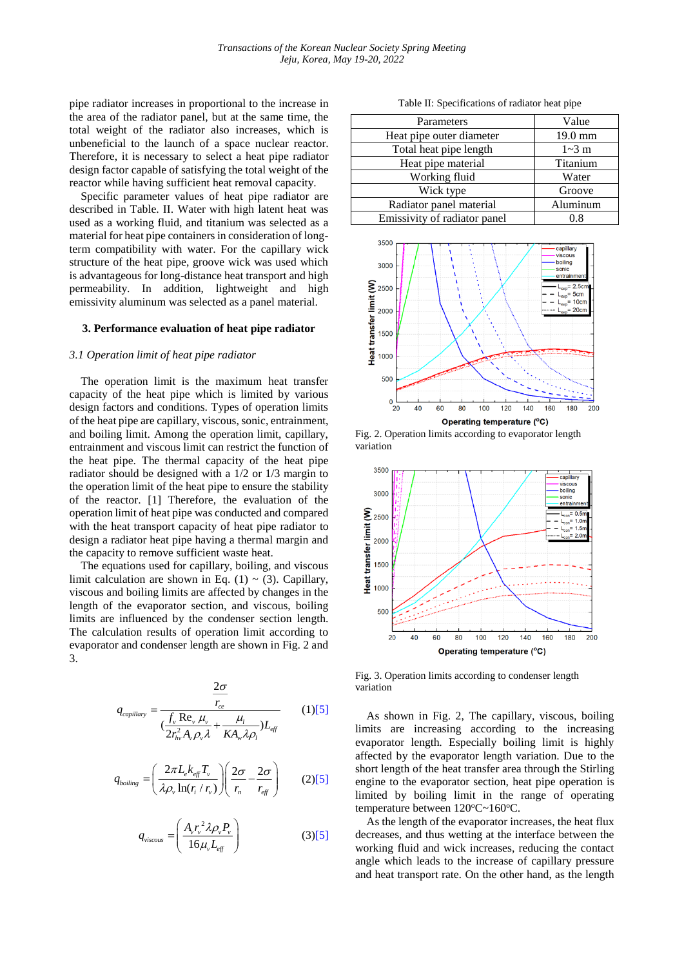pipe radiator increases in proportional to the increase in the area of the radiator panel, but at the same time, the total weight of the radiator also increases, which is unbeneficial to the launch of a space nuclear reactor. Therefore, it is necessary to select a heat pipe radiator design factor capable of satisfying the total weight of the reactor while having sufficient heat removal capacity.

Specific parameter values of heat pipe radiator are described in Table. II. Water with high latent heat was used as a working fluid, and titanium was selected as a material for heat pipe containers in consideration of longterm compatibility with water. For the capillary wick structure of the heat pipe, groove wick was used which is advantageous for long-distance heat transport and high permeability. In addition, lightweight and high emissivity aluminum was selected as a panel material.

#### **3. Performance evaluation of heat pipe radiator**

### *3.1 Operation limit of heat pipe radiator*

The operation limit is the maximum heat transfer capacity of the heat pipe which is limited by various design factors and conditions. Types of operation limits of the heat pipe are capillary, viscous, sonic, entrainment, and boiling limit. Among the operation limit, capillary, entrainment and viscous limit can restrict the function of the heat pipe. The thermal capacity of the heat pipe radiator should be designed with a 1/2 or 1/3 margin to the operation limit of the heat pipe to ensure the stability of the reactor. [1] Therefore, the evaluation of the operation limit of heat pipe was conducted and compared with the heat transport capacity of heat pipe radiator to design a radiator heat pipe having a thermal margin and the capacity to remove sufficient waste heat.

The equations used for capillary, boiling, and viscous limit calculation are shown in Eq.  $(1) \sim (3)$ . Capillary, viscous and boiling limits are affected by changes in the length of the evaporator section, and viscous, boiling limits are influenced by the condenser section length. The calculation results of operation limit according to evaporator and condenser length are shown in Fig. 2 and 3.

$$
q_{capillary} = \frac{\frac{2\sigma}{r_{ce}}}{(\frac{f_v \text{ Re}_v \mu_v}{2r_{hv}^2 A_v \rho_v \lambda} + \frac{\mu_l}{KA_v \lambda \rho_l})L_{eff}}
$$
(1)[5]

$$
q_{boiling} = \left(\frac{2\pi L_e k_{\text{eff}} T_v}{\lambda \rho_v \ln(r_i/r_v)}\right) \left(\frac{2\sigma}{r_n} - \frac{2\sigma}{r_{\text{eff}}}\right) \tag{215}
$$

$$
q_{viscous} = \left(\frac{A_{\nu}r_{\nu}^{2}\lambda\rho_{\nu}P_{\nu}}{16\mu_{\nu}L_{\text{eff}}}\right) \tag{3)[5]}
$$

Table II: Specifications of radiator heat pipe

| Parameters                   | Value    |
|------------------------------|----------|
| Heat pipe outer diameter     | 19.0 mm  |
| Total heat pipe length       | $1-3$ m  |
| Heat pipe material           | Titanium |
| Working fluid                | Water    |
| Wick type                    | Groove   |
| Radiator panel material      | Aluminum |
| Emissivity of radiator panel | 0.8      |
|                              |          |







Fig. 3. Operation limits according to condenser length variation

As shown in Fig. 2, The capillary, viscous, boiling limits are increasing according to the increasing evaporator length. Especially boiling limit is highly affected by the evaporator length variation. Due to the short length of the heat transfer area through the Stirling engine to the evaporator section, heat pipe operation is limited by boiling limit in the range of operating temperature between 120°C~160°C.

As the length of the evaporator increases, the heat flux decreases, and thus wetting at the interface between the working fluid and wick increases, reducing the contact angle which leads to the increase of capillary pressure and heat transport rate. On the other hand, as the length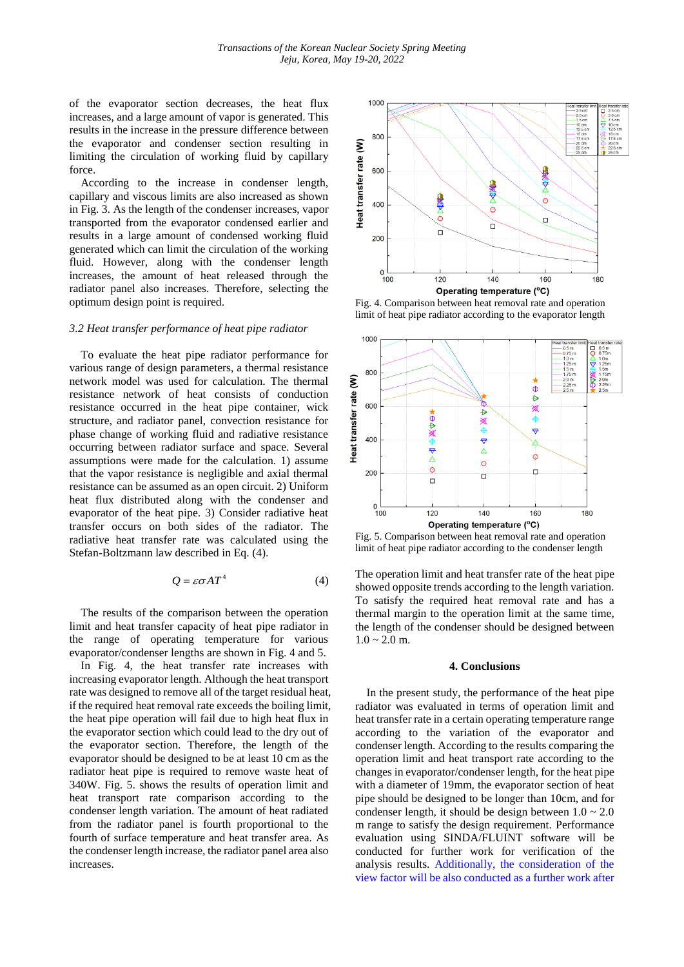of the evaporator section decreases, the heat flux increases, and a large amount of vapor is generated. This results in the increase in the pressure difference between the evaporator and condenser section resulting in limiting the circulation of working fluid by capillary force.

According to the increase in condenser length, capillary and viscous limits are also increased as shown in Fig. 3. As the length of the condenser increases, vapor transported from the evaporator condensed earlier and results in a large amount of condensed working fluid generated which can limit the circulation of the working fluid. However, along with the condenser length increases, the amount of heat released through the radiator panel also increases. Therefore, selecting the optimum design point is required.

#### *3.2 Heat transfer performance of heat pipe radiator*

To evaluate the heat pipe radiator performance for various range of design parameters, a thermal resistance network model was used for calculation. The thermal resistance network of heat consists of conduction resistance occurred in the heat pipe container, wick structure, and radiator panel, convection resistance for phase change of working fluid and radiative resistance occurring between radiator surface and space. Several assumptions were made for the calculation. 1) assume that the vapor resistance is negligible and axial thermal resistance can be assumed as an open circuit. 2) Uniform heat flux distributed along with the condenser and evaporator of the heat pipe. 3) Consider radiative heat transfer occurs on both sides of the radiator. The radiative heat transfer rate was calculated using the Stefan-Boltzmann law described in Eq. (4).

$$
Q = \varepsilon \sigma A T^4 \tag{4}
$$

The results of the comparison between the operation limit and heat transfer capacity of heat pipe radiator in the range of operating temperature for various evaporator/condenser lengths are shown in Fig. 4 and 5.

In Fig. 4, the heat transfer rate increases with increasing evaporator length. Although the heat transport rate was designed to remove all of the target residual heat, if the required heat removal rate exceeds the boiling limit, the heat pipe operation will fail due to high heat flux in the evaporator section which could lead to the dry out of the evaporator section. Therefore, the length of the evaporator should be designed to be at least 10 cm as the radiator heat pipe is required to remove waste heat of 340W. Fig. 5. shows the results of operation limit and heat transport rate comparison according to the condenser length variation. The amount of heat radiated from the radiator panel is fourth proportional to the fourth of surface temperature and heat transfer area. As the condenser length increase, the radiator panel area also increases.



Fig. 4. Comparison between heat removal rate and operation limit of heat pipe radiator according to the evaporator length



Fig. 5. Comparison between heat removal rate and operation limit of heat pipe radiator according to the condenser length

The operation limit and heat transfer rate of the heat pipe showed opposite trends according to the length variation. To satisfy the required heat removal rate and has a thermal margin to the operation limit at the same time, the length of the condenser should be designed between  $1.0 \sim 2.0$  m.

#### **4. Conclusions**

In the present study, the performance of the heat pipe radiator was evaluated in terms of operation limit and heat transfer rate in a certain operating temperature range according to the variation of the evaporator and condenser length. According to the results comparing the operation limit and heat transport rate according to the changes in evaporator/condenser length, for the heat pipe with a diameter of 19mm, the evaporator section of heat pipe should be designed to be longer than 10cm, and for condenser length, it should be design between  $1.0 \sim 2.0$ m range to satisfy the design requirement. Performance evaluation using SINDA/FLUINT software will be conducted for further work for verification of the analysis results. Additionally, the consideration of the view factor will be also conducted as a further work after